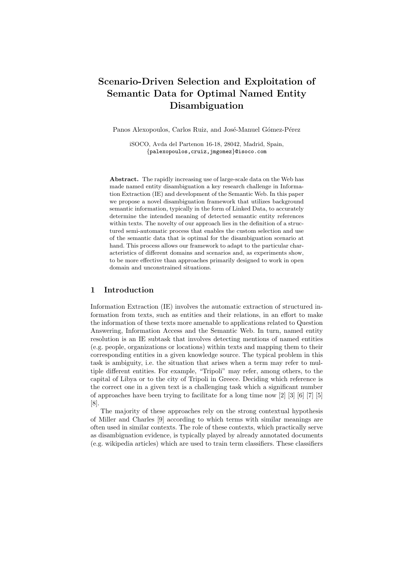# Scenario-Driven Selection and Exploitation of Semantic Data for Optimal Named Entity Disambiguation

Panos Alexopoulos, Carlos Ruiz, and José-Manuel Gómez-Pérez

iSOCO, Avda del Partenon 16-18, 28042, Madrid, Spain, {palexopoulos,cruiz,jmgomez}@isoco.com

Abstract. The rapidly increasing use of large-scale data on the Web has made named entity disambiguation a key research challenge in Information Extraction (IE) and development of the Semantic Web. In this paper we propose a novel disambiguation framework that utilizes background semantic information, typically in the form of Linked Data, to accurately determine the intended meaning of detected semantic entity references within texts. The novelty of our approach lies in the definition of a structured semi-automatic process that enables the custom selection and use of the semantic data that is optimal for the disambiguation scenario at hand. This process allows our framework to adapt to the particular characteristics of different domains and scenarios and, as experiments show, to be more effective than approaches primarily designed to work in open domain and unconstrained situations.

## 1 Introduction

Information Extraction (IE) involves the automatic extraction of structured information from texts, such as entities and their relations, in an effort to make the information of these texts more amenable to applications related to Question Answering, Information Access and the Semantic Web. In turn, named entity resolution is an IE subtask that involves detecting mentions of named entities (e.g. people, organizations or locations) within texts and mapping them to their corresponding entities in a given knowledge source. The typical problem in this task is ambiguity, i.e. the situation that arises when a term may refer to multiple different entities. For example, "Tripoli" may refer, among others, to the capital of Libya or to the city of Tripoli in Greece. Deciding which reference is the correct one in a given text is a challenging task which a significant number of approaches have been trying to facilitate for a long time now [2] [3] [6] [7] [5] [8].

The majority of these approaches rely on the strong contextual hypothesis of Miller and Charles [9] according to which terms with similar meanings are often used in similar contexts. The role of these contexts, which practically serve as disambiguation evidence, is typically played by already annotated documents (e.g. wikipedia articles) which are used to train term classifiers. These classifiers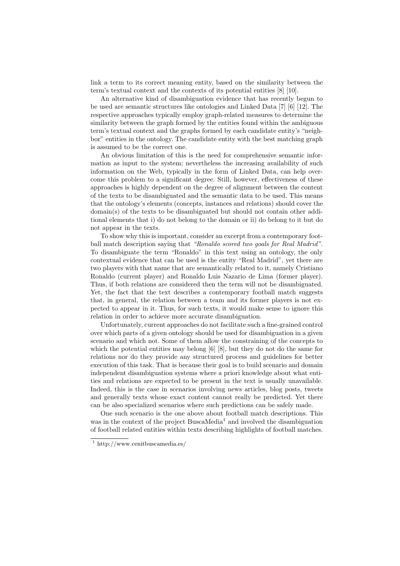link a term to its correct meaning entity, based on the similarity between the term's textual context and the contexts of its potential entities [8] [10].

An alternative kind of disambiguation evidence that has recently begun to be used are semantic structures like ontologies and Linked Data [7] [6] [12]. The respective approaches typically employ graph-related measures to determine the similarity between the graph formed by the entities found within the ambiguous term's textual context and the graphs formed by each candidate entity's "neighbor" entities in the ontology. The candidate entity with the best matching graph is assumed to be the correct one.

An obvious limitation of this is the need for comprehensive semantic information as input to the system; nevertheless the increasing availability of such information on the Web, typically in the form of Linked Data, can help overcome this problem to a significant degree. Still, however, effectiveness of these approaches is highly dependent on the degree of alignment between the content of the texts to be disambiguated and the semantic data to be used. This means that the ontology's elements (concepts, instances and relations) should cover the domain(s) of the texts to be disambiguated but should not contain other additional elements that i) do not belong to the domain or ii) do belong to it but do not appear in the texts.

To show why this is important, consider an excerpt from a contemporary football match description saying that "Ronaldo scored two goals for Real Madrid". To disambiguate the term "Ronaldo" in this text using an ontology, the only contextual evidence that can be used is the entity "Real Madrid", yet there are two players with that name that are semantically related to it, namely Cristiano Ronaldo (current player) and Ronaldo Luis Nazario de Lima (former player). Thus, if both relations are considered then the term will not be disambiguated. Yet, the fact that the text describes a contemporary football match suggests that, in general, the relation between a team and its former players is not expected to appear in it. Thus, for such texts, it would make sense to ignore this relation in order to achieve more accurate disambiguation.

Unfortunately, current approaches do not facilitate such a fine-grained control over which parts of a given ontology should be used for disambiguation in a given scenario and which not. Some of them allow the constraining of the concepts to which the potential entities may belong [6] [8], but they do not do the same for relations nor do they provide any structured process and guidelines for better execution of this task. That is because their goal is to build scenario and domain independent disambiguation systems where a priori knowledge about what entities and relations are expected to be present in the text is usually unavailable. Indeed, this is the case in scenarios involving news articles, blog posts, tweets and generally texts whose exact content cannot really be predicted. Yet there can be also specialized scenarios where such predictions can be safely made.

One such scenario is the one above about football match descriptions. This was in the context of the project BuscaMedia<sup>1</sup> and involved the disambiguation of football related entities within texts describing highlights of football matches.

 $1$  http://www.cenitbuscamedia.es/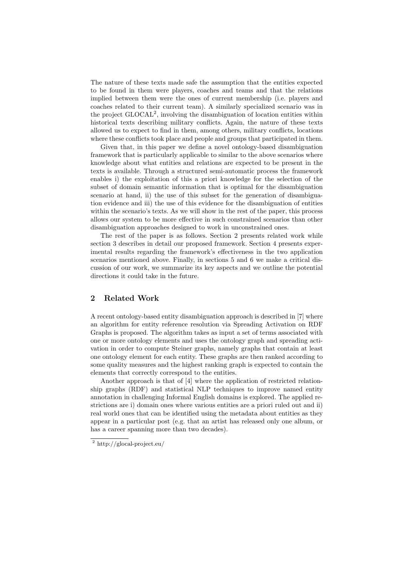The nature of these texts made safe the assumption that the entities expected to be found in them were players, coaches and teams and that the relations implied between them were the ones of current membership (i.e. players and coaches related to their current team). A similarly specialized scenario was in the project  $\text{GLOCAL}^2$ , involving the disambiguation of location entities within historical texts describing military conflicts. Again, the nature of these texts allowed us to expect to find in them, among others, military conflicts, locations where these conflicts took place and people and groups that participated in them.

Given that, in this paper we define a novel ontology-based disambiguation framework that is particularly applicable to similar to the above scenarios where knowledge about what entities and relations are expected to be present in the texts is available. Through a structured semi-automatic process the framework enables i) the exploitation of this a priori knowledge for the selection of the subset of domain semantic information that is optimal for the disambiguation scenario at hand, ii) the use of this subset for the generation of disambiguation evidence and iii) the use of this evidence for the disambiguation of entities within the scenario's texts. As we will show in the rest of the paper, this process allows our system to be more effective in such constrained scenarios than other disambiguation approaches designed to work in unconstrained ones.

The rest of the paper is as follows. Section 2 presents related work while section 3 describes in detail our proposed framework. Section 4 presents experimental results regarding the framework's effectiveness in the two application scenarios mentioned above. Finally, in sections 5 and 6 we make a critical discussion of our work, we summarize its key aspects and we outline the potential directions it could take in the future.

## 2 Related Work

A recent ontology-based entity disambiguation approach is described in [7] where an algorithm for entity reference resolution via Spreading Activation on RDF Graphs is proposed. The algorithm takes as input a set of terms associated with one or more ontology elements and uses the ontology graph and spreading activation in order to compute Steiner graphs, namely graphs that contain at least one ontology element for each entity. These graphs are then ranked according to some quality measures and the highest ranking graph is expected to contain the elements that correctly correspond to the entities.

Another approach is that of [4] where the application of restricted relationship graphs (RDF) and statistical NLP techniques to improve named entity annotation in challenging Informal English domains is explored. The applied restrictions are i) domain ones where various entities are a priori ruled out and ii) real world ones that can be identified using the metadata about entities as they appear in a particular post (e.g. that an artist has released only one album, or has a career spanning more than two decades).

<sup>2</sup> http://glocal-project.eu/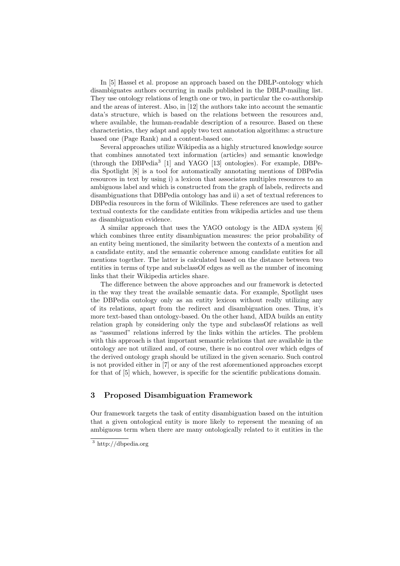In [5] Hassel et al. propose an approach based on the DBLP-ontology which disambiguates authors occurring in mails published in the DBLP-mailing list. They use ontology relations of length one or two, in particular the co-authorship and the areas of interest. Also, in [12] the authors take into account the semantic data's structure, which is based on the relations between the resources and, where available, the human-readable description of a resource. Based on these characteristics, they adapt and apply two text annotation algorithms: a structure based one (Page Rank) and a content-based one.

Several approaches utilize Wikipedia as a highly structured knowledge source that combines annotated text information (articles) and semantic knowledge (through the DBPedia<sup>3</sup> [1] and YAGO [13] ontologies). For example, DBPedia Spotlight [8] is a tool for automatically annotating mentions of DBPedia resources in text by using i) a lexicon that associates multiples resources to an ambiguous label and which is constructed from the graph of labels, redirects and disambiguations that DBPedia ontology has and ii) a set of textual references to DBPedia resources in the form of Wikilinks. These references are used to gather textual contexts for the candidate entities from wikipedia articles and use them as disambiguation evidence.

A similar approach that uses the YAGO ontology is the AIDA system [6] which combines three entity disambiguation measures: the prior probability of an entity being mentioned, the similarity between the contexts of a mention and a candidate entity, and the semantic coherence among candidate entities for all mentions together. The latter is calculated based on the distance between two entities in terms of type and subclassOf edges as well as the number of incoming links that their Wikipedia articles share.

The difference between the above approaches and our framework is detected in the way they treat the available semantic data. For example, Spotlight uses the DBPedia ontology only as an entity lexicon without really utilizing any of its relations, apart from the redirect and disambiguation ones. Thus, it's more text-based than ontology-based. On the other hand, AIDA builds an entity relation graph by considering only the type and subclassOf relations as well as "assumed" relations inferred by the links within the articles. The problem with this approach is that important semantic relations that are available in the ontology are not utilized and, of course, there is no control over which edges of the derived ontology graph should be utilized in the given scenario. Such control is not provided either in [7] or any of the rest aforementioned approaches except for that of [5] which, however, is specific for the scientific publications domain.

## 3 Proposed Disambiguation Framework

Our framework targets the task of entity disambiguation based on the intuition that a given ontological entity is more likely to represent the meaning of an ambiguous term when there are many ontologically related to it entities in the

<sup>3</sup> http://dbpedia.org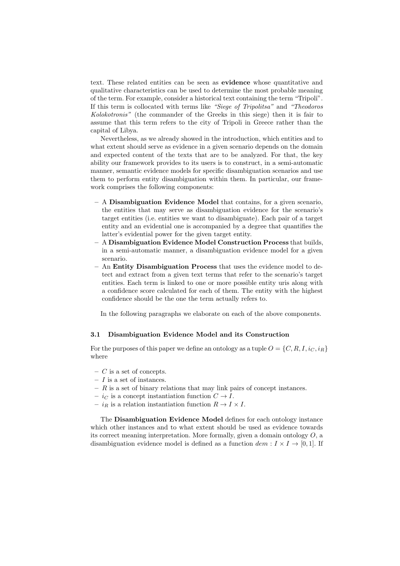text. These related entities can be seen as evidence whose quantitative and qualitative characteristics can be used to determine the most probable meaning of the term. For example, consider a historical text containing the term "Tripoli". If this term is collocated with terms like "Siege of Tripolitsa" and "Theodoros Kolokotronis" (the commander of the Greeks in this siege) then it is fair to assume that this term refers to the city of Tripoli in Greece rather than the capital of Libya.

Nevertheless, as we already showed in the introduction, which entities and to what extent should serve as evidence in a given scenario depends on the domain and expected content of the texts that are to be analyzed. For that, the key ability our framework provides to its users is to construct, in a semi-automatic manner, semantic evidence models for specific disambiguation scenarios and use them to perform entity disambiguation within them. In particular, our framework comprises the following components:

- A Disambiguation Evidence Model that contains, for a given scenario, the entities that may serve as disambiguation evidence for the scenario's target entities (i.e. entities we want to disambiguate). Each pair of a target entity and an evidential one is accompanied by a degree that quantifies the latter's evidential power for the given target entity.
- A Disambiguation Evidence Model Construction Process that builds, in a semi-automatic manner, a disambiguation evidence model for a given scenario.
- An Entity Disambiguation Process that uses the evidence model to detect and extract from a given text terms that refer to the scenario's target entities. Each term is linked to one or more possible entity uris along with a confidence score calculated for each of them. The entity with the highest confidence should be the one the term actually refers to.

In the following paragraphs we elaborate on each of the above components.

#### 3.1 Disambiguation Evidence Model and its Construction

For the purposes of this paper we define an ontology as a tuple  $O = \{C, R, I, i_C, i_R\}$ where

- $-$  C is a set of concepts.
- $I$  is a set of instances.
- $R$  is a set of binary relations that may link pairs of concept instances.
- $i_C$  is a concept instantiation function  $C \rightarrow I$ .
- $i_R$  is a relation instantiation function  $R \to I \times I$ .

The Disambiguation Evidence Model defines for each ontology instance which other instances and to what extent should be used as evidence towards its correct meaning interpretation. More formally, given a domain ontology  $O$ , a disambiguation evidence model is defined as a function  $dem: I \times I \rightarrow [0, 1]$ . If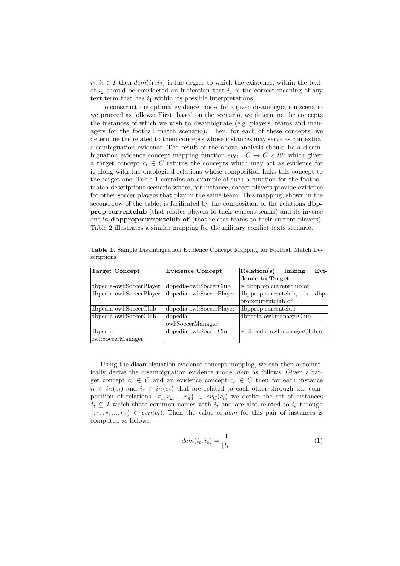$i_1, i_2 \in I$  then  $dem(i_1, i_2)$  is the degree to which the existence, within the text, of  $i_2$  should be considered an indication that  $i_1$  is the correct meaning of any text term that has  $i_1$  within its possible interpretations.

To construct the optimal evidence model for a given disambiguation scenario we proceed as follows: First, based on the scenario, we determine the concepts the instances of which we wish to disambiguate (e.g. players, teams and managers for the football match scenario). Then, for each of these concepts, we determine the related to them concepts whose instances may serve as contextual disambiguation evidence. The result of the above analysis should be a disambiguation evidence concept mapping function  $ev_C : C \to C \times R^n$  which given a target concept  $c_t \in C$  returns the concepts which may act as evidence for it along with the ontological relations whose composition links this concept to the target one. Table 1 contains an example of such a function for the football match descriptions scenario where, for instance, soccer players provide evidence for other soccer players that play in the same team. This mapping, shown in the second row of the table, is facilitated by the composition of the relations dbpprop:currentclub (that relates players to their current teams) and its inverse one is dbpprop:currentclub of (that relates teams to their current players). Table 2 illustrates a similar mapping for the military conflict texts scenario.

| Target Concept           | <b>Evidence Concept</b>  | $E$ vi- $\vert$<br>Relation(s)<br>linking |  |
|--------------------------|--------------------------|-------------------------------------------|--|
|                          |                          | dence to Target                           |  |
| dbpedia-owl:SoccerPlayer | dbpedia-owl:SoccerClub   | is dbpprop: current club of               |  |
| dbpedia-owl:SoccerPlayer | dbpedia-owl:SoccerPlayer | dbpprop:currentclub,<br>$dbp-$<br>is      |  |
|                          |                          | prop: current club of                     |  |
| dbpedia-owl:SoccerClub   | dbpedia-owl:SoccerPlayer | dbpprop:currentclub                       |  |
| dbpedia-owl:SoccerClub   | dbpedia-                 | dbpedia-owl:managerClub                   |  |
|                          | owl:SoccerManager        |                                           |  |
| dbpedia-                 | dbpedia-owl:SoccerClub   | is dbpedia-owl:managerClub of             |  |
| owl:SoccerManager        |                          |                                           |  |

Table 1. Sample Disambiguation Evidence Concept Mapping for Football Match Descriptions

Using the disambiguation evidence concept mapping, we can then automatically derive the disambiguation evidence model dem as follows: Given a target concept  $c_t \in C$  and an evidence concept  $c_e \in C$  then for each instance  $i_t \in i_C(c_t)$  and  $i_e \in i_C(c_e)$  that are related to each other through the composition of relations  $\{r_1, r_2, ..., r_n\} \in ev_C(c_t)$  we derive the set of instances  $I_t \subseteq I$  which share common names with  $i_t$  and are also related to  $i_e$  through  ${r_1, r_2, ..., r_n} \in ev_C(c_t)$ . Then the value of *dem* for this pair of instances is computed as follows:

$$
dem(i_t, i_e) = \frac{1}{|I_t|} \tag{1}
$$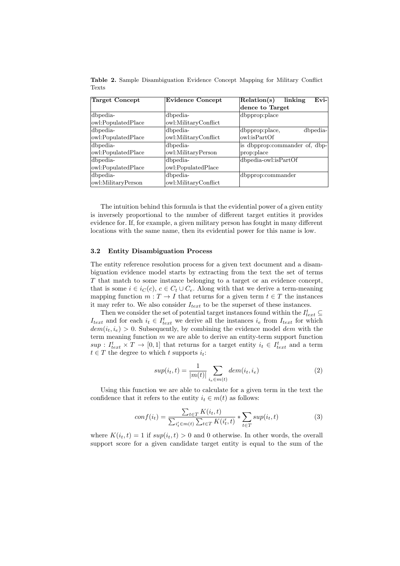| Target Concept     | <b>Evidence Concept</b> | Evi-<br>Relation(s)<br>linking |
|--------------------|-------------------------|--------------------------------|
|                    |                         | dence to Target                |
| dbpedia-           | dbpedia-                | dbpprop:place                  |
| owl:PopulatedPlace | owl:MilitaryConflict    |                                |
| dbpedia-           | dbpedia-                | dbpprop:place,<br>dbpedia-     |
| owl:PopulatedPlace | owl:MilitaryConflict    | owl:isPartOf                   |
| dbpedia-           | dbpedia-                | is dbpprop:commander of, dbp-  |
| owl:PopulatedPlace | owl:MilitaryPerson      | prop:place                     |
| dbpedia-           | dbpedia-                | dbpedia-owl:isPartOf           |
| owl:PopulatedPlace | owl:PopulatedPlace      |                                |
| dbpedia-           | dbpedia-                | dbpprop:commander              |
| owl:MilitaryPerson | owl:MilitaryConflict    |                                |

Table 2. Sample Disambiguation Evidence Concept Mapping for Military Conflict Texts

The intuition behind this formula is that the evidential power of a given entity is inversely proportional to the number of different target entities it provides evidence for. If, for example, a given military person has fought in many different locations with the same name, then its evidential power for this name is low.

#### 3.2 Entity Disambiguation Process

The entity reference resolution process for a given text document and a disambiguation evidence model starts by extracting from the text the set of terms T that match to some instance belonging to a target or an evidence concept, that is some  $i \in i<sub>C</sub>(c)$ ,  $c \in C_t \cup C_e$ . Along with that we derive a term-meaning mapping function  $m: T \to I$  that returns for a given term  $t \in T$  the instances it may refer to. We also consider  $I_{text}$  to be the superset of these instances.

Then we consider the set of potential target instances found within the  $I_{text}^t \subseteq$  $I_{text}$  and for each  $i_t \in I_{text}^t$  we derive all the instances  $i_e$  from  $I_{text}$  for which  $dem(i_t, i_e) > 0$ . Subsequently, by combining the evidence model dem with the term meaning function  $m$  we are able to derive an entity-term support function  $sup: I_{text}^t \times T \to [0,1]$  that returns for a target entity  $i_t \in I_{text}^t$  and a term  $t \in T$  the degree to which t supports  $i_t$ :

$$
sup(i_t, t) = \frac{1}{|m(t)|} \sum_{i_e \in m(t)} dem(i_t, i_e)
$$
\n
$$
(2)
$$

Using this function we are able to calculate for a given term in the text the confidence that it refers to the entity  $i_t \in m(t)$  as follows:

$$
conf(i_t) = \frac{\sum_{t \in T} K(i_t, t)}{\sum_{i'_t \in m(t)} \sum_{t \in T} K(i'_t, t)} * \sum_{t \in T} sup(i_t, t)
$$
(3)

where  $K(i_t, t) = 1$  if  $sup(i_t, t) > 0$  and 0 otherwise. In other words, the overall support score for a given candidate target entity is equal to the sum of the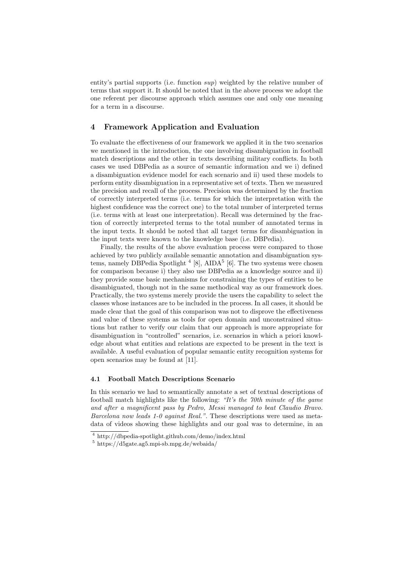entity's partial supports (i.e. function  $sup$ ) weighted by the relative number of terms that support it. It should be noted that in the above process we adopt the one referent per discourse approach which assumes one and only one meaning for a term in a discourse.

## 4 Framework Application and Evaluation

To evaluate the effectiveness of our framework we applied it in the two scenarios we mentioned in the introduction, the one involving disambiguation in football match descriptions and the other in texts describing military conflicts. In both cases we used DBPedia as a source of semantic information and we i) defined a disambiguation evidence model for each scenario and ii) used these models to perform entity disambiguation in a representative set of texts. Then we measured the precision and recall of the process. Precision was determined by the fraction of correctly interpreted terms (i.e. terms for which the interpretation with the highest confidence was the correct one) to the total number of interpreted terms (i.e. terms with at least one interpretation). Recall was determined by the fraction of correctly interpreted terms to the total number of annotated terms in the input texts. It should be noted that all target terms for disambiguation in the input texts were known to the knowledge base (i.e. DBPedia).

Finally, the results of the above evaluation process were compared to those achieved by two publicly available semantic annotation and disambiguation systems, namely DBPedia Spotlight  $4 \times 8$ , AIDA<sup>5</sup> [6]. The two systems were chosen for comparison because i) they also use DBPedia as a knowledge source and ii) they provide some basic mechanisms for constraining the types of entities to be disambiguated, though not in the same methodical way as our framework does. Practically, the two systems merely provide the users the capability to select the classes whose instances are to be included in the process. In all cases, it should be made clear that the goal of this comparison was not to disprove the effectiveness and value of these systems as tools for open domain and unconstrained situations but rather to verify our claim that our approach is more appropriate for disambiguation in "controlled" scenarios, i.e. scenarios in which a priori knowledge about what entities and relations are expected to be present in the text is available. A useful evaluation of popular semantic entity recognition systems for open scenarios may be found at [11].

#### 4.1 Football Match Descriptions Scenario

In this scenario we had to semantically annotate a set of textual descriptions of football match highlights like the following: "It's the 70th minute of the game and after a magnificent pass by Pedro, Messi managed to beat Claudio Bravo. Barcelona now leads 1-0 against Real.". These descriptions were used as metadata of videos showing these highlights and our goal was to determine, in an

<sup>4</sup> http://dbpedia-spotlight.github.com/demo/index.html

<sup>5</sup> https://d5gate.ag5.mpi-sb.mpg.de/webaida/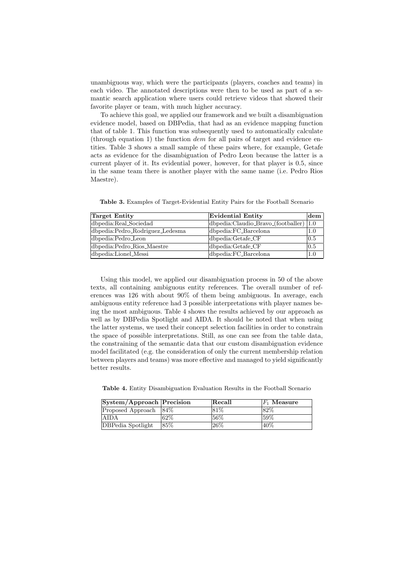unambiguous way, which were the participants (players, coaches and teams) in each video. The annotated descriptions were then to be used as part of a semantic search application where users could retrieve videos that showed their favorite player or team, with much higher accuracy.

To achieve this goal, we applied our framework and we built a disambiguation evidence model, based on DBPedia, that had as an evidence mapping function that of table 1. This function was subsequently used to automatically calculate (through equation 1) the function  $dem$  for all pairs of target and evidence entities. Table 3 shows a small sample of these pairs where, for example, Getafe acts as evidence for the disambiguation of Pedro Leon because the latter is a current player of it. Its evidential power, however, for that player is 0.5, since in the same team there is another player with the same name (i.e. Pedro Rios Maestre).

Table 3. Examples of Target-Evidential Entity Pairs for the Football Scenario

| Target Entity                   | Evidential Entity                       | $ {\rm dem} $     |
|---------------------------------|-----------------------------------------|-------------------|
| dbpedia:Real_Sociedad           | dbpedia:Claudio_Bravo_(footballer)  1.0 |                   |
| dbpedia:Pedro_Rodriguez_Ledesma | dbpedia: FC_Barcelona                   | 1.0               |
| dbpedia:Pedro_Leon              | dbpedia:Getafe_CF                       | $\vert 0.5 \vert$ |
| dbpedia:Pedro_Rios_Maestre      | $ d$ bpedia: $G$ etafe <sub>-CF</sub>   | 0.5               |
| dbpedia:Lionel_Messi            | dbpedia: FC_Barcelona                   | 1.0               |

Using this model, we applied our disambiguation process in 50 of the above texts, all containing ambiguous entity references. The overall number of references was 126 with about 90% of them being ambiguous. In average, each ambiguous entity reference had 3 possible interpretations with player names being the most ambiguous. Table 4 shows the results achieved by our approach as well as by DBPedia Spotlight and AIDA. It should be noted that when using the latter systems, we used their concept selection facilities in order to constrain the space of possible interpretations. Still, as one can see from the table data, the constraining of the semantic data that our custom disambiguation evidence model facilitated (e.g. the consideration of only the current membership relation between players and teams) was more effective and managed to yield significantly better results.

Table 4. Entity Disambiguation Evaluation Results in the Football Scenario

| System/Approach Precision |        | $ \mathrm{Recall} $ | $F_1$ Measure |
|---------------------------|--------|---------------------|---------------|
| Proposed Approach         | $84\%$ | 181\%               | 82\%          |
| <b>AIDA</b>               | 62\%   | 56%                 | 59%           |
| <b>DBPedia Spotlight</b>  | 85%    | $126\%$             | 40\%          |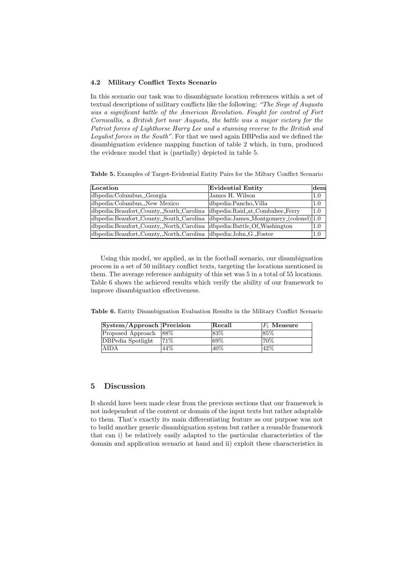#### 4.2 Military Conflict Texts Scenario

In this scenario our task was to disambiguate location references within a set of textual descriptions of military conflicts like the following: "The Siege of Augusta was a significant battle of the American Revolution. Fought for control of Fort Cornwallis, a British fort near Augusta, the battle was a major victory for the Patriot forces of Lighthorse Harry Lee and a stunning reverse to the British and Loyalist forces in the South". For that we used again DBPedia and we defined the disambiguation evidence mapping function of table 2 which, in turn, produced the evidence model that is (partially) depicted in table 5.

Table 5. Examples of Target-Evidential Entity Pairs for the Miltary Conflict Scenario

| Location                                                       | Evidential Entity                            | dem |
|----------------------------------------------------------------|----------------------------------------------|-----|
| dbpedia:Columbus, Georgia                                      | James H. Wilson                              | 1.0 |
| dbpedia:Columbus, New Mexico                                   | dbpedia:Pancho_Villa                         | 1.0 |
| dbpedia:Beaufort_County,_South_Carolina                        | dbpedia:Raid_at_Combahee_Ferry               | 1.0 |
| dbpedia:Beaufort_County,_South_Carolina                        | $ dbpedia:James_Montgomery_{c}(colorel) 1.0$ |     |
| dbpedia:Beaufort_County,_North_Carolina                        | dbpedia:Battle_Of_Washington                 | 1.0 |
| dbpedia:Beaufort_County,_North_Carolina dbpedia:John_G._Foster |                                              | 1.0 |

Using this model, we applied, as in the football scenario, our disambiguation process in a set of 50 military conflict texts, targeting the locations mentioned in them. The average reference ambiguity of this set was 5 in a total of 55 locations. Table 6 shows the achieved results which verify the ability of our framework to improve disambiguation effectiveness.

Table 6. Entity Disambiguation Evaluation Results in the Military Conflict Scenario

| System/Approach Precision |       | Recall | $ F_1 $ Measure |
|---------------------------|-------|--------|-----------------|
| Proposed Approach         | - 88% | 83%    | 85\%            |
| DBPedia Spotlight         | 71\%  | $69\%$ | 70\%            |
| AIDA                      | 44\%  | 40\%   | 42\%            |

## 5 Discussion

It should have been made clear from the previous sections that our framework is not independent of the content or domain of the input texts but rather adaptable to them. That's exactly its main differentiating feature as our purpose was not to build another generic disambiguation system but rather a reusable framework that can i) be relatively easily adapted to the particular characteristics of the domain and application scenario at hand and ii) exploit these characteristics in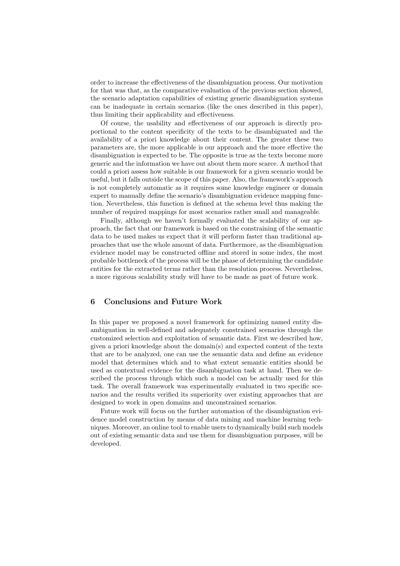order to increase the effectiveness of the disambiguation process. Our motivation for that was that, as the comparative evaluation of the previous section showed, the scenario adaptation capabilities of existing generic disambiguation systems can be inadequate in certain scenarios (like the ones described in this paper), thus limiting their applicability and effectiveness.

Of course, the usability and effectiveness of our approach is directly proportional to the content specificity of the texts to be disambiguated and the availability of a priori knowledge about their content. The greater these two parameters are, the more applicable is our approach and the more effective the disambiguation is expected to be. The opposite is true as the texts become more generic and the information we have out about them more scarce. A method that could a priori assess how suitable is our framework for a given scenario would be useful, but it falls outside the scope of this paper. Also, the framework's approach is not completely automatic as it requires some knowledge engineer or domain expert to manually define the scenario's disambiguation evidence mapping function. Nevertheless, this function is defined at the schema level thus making the number of required mappings for most scenarios rather small and manageable.

Finally, although we haven't formally evaluated the scalability of our approach, the fact that our framework is based on the constraining of the semantic data to be used makes us expect that it will perform faster than traditional approaches that use the whole amount of data. Furthermore, as the disambiguation evidence model may be constructed offline and stored in some index, the most probable bottleneck of the process will be the phase of determining the candidate entities for the extracted terms rather than the resolution process. Nevertheless, a more rigorous scalability study will have to be made as part of future work.

## 6 Conclusions and Future Work

In this paper we proposed a novel framework for optimizing named entity disambiguation in well-defined and adequately constrained scenarios through the customized selection and exploitation of semantic data. First we described how, given a priori knowledge about the domain(s) and expected content of the texts that are to be analyzed, one can use the semantic data and define an evidence model that determines which and to what extent semantic entities should be used as contextual evidence for the disambiguation task at hand. Then we described the process through which such a model can be actually used for this task. The overall framework was experimentally evaluated in two specific scenarios and the results verified its superiority over existing approaches that are designed to work in open domains and unconstrained scenarios.

Future work will focus on the further automation of the disambiguation evidence model construction by means of data mining and machine learning techniques. Moreover, an online tool to enable users to dynamically build such models out of existing semantic data and use them for disambiguation purposes, will be developed.